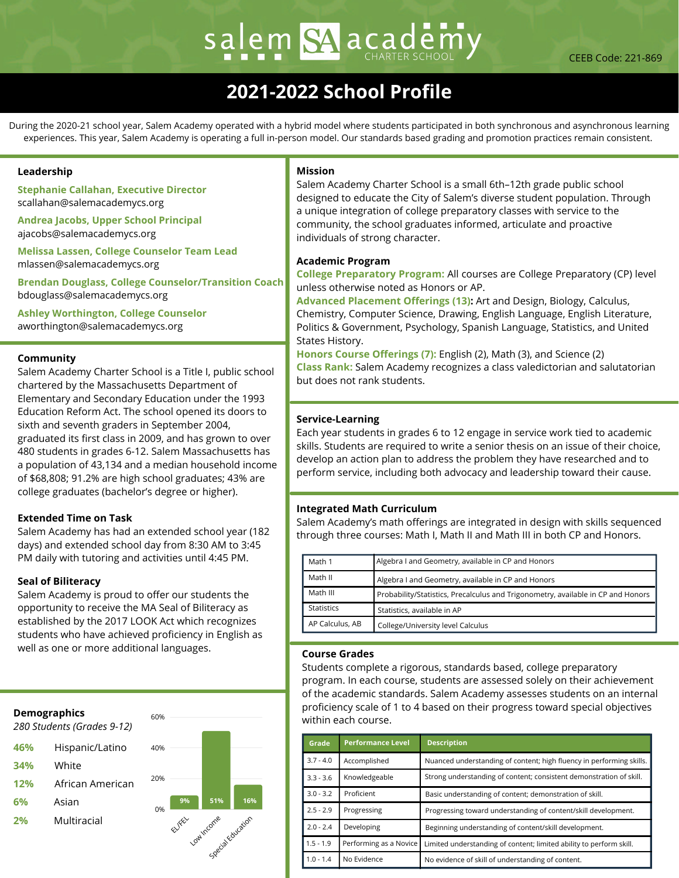# salem SA academ

# **2021-2022 School Profile**

During the 2020-21 school year, Salem Academy operated with a hybrid model where students participated in both synchronous and asynchronous learning experiences. This year, Salem Academy is operating a full in-person model. Our standards based grading and promotion practices remain consistent.

# **Leadership**

**Stephanie Callahan, Executive Director** scallahan@salemacademycs.org

**Andrea Jacobs, Upper School Principal** ajacobs@salemacademycs.org

**Melissa Lassen, College Counselor Team Lead** mlassen@salemacademycs.org

**Brendan Douglass, College Counselor/Transition Coach** bdouglass@salemacademycs.org

**Ashley Worthington, College Counselor** aworthington@salemacademycs.org

# **Community**

Salem Academy Charter School is a Title I, public school chartered by the Massachusetts Department of Elementary and Secondary Education under the 1993 Education Reform Act. The school opened its doors to sixth and seventh graders in September 2004, graduated its first class in 2009, and has grown to over 480 students in grades 6-12. Salem Massachusetts has a population of 43,134 and a median household income of \$68,808; 91.2% are high school graduates; 43% are college graduates (bachelor's degree or higher).

### **Extended Time on Task**

Salem Academy has had an extended school year (182 days) and extended school day from 8:30 AM to 3:45 PM daily with tutoring and activities until 4:45 PM.

### **Seal of Biliteracy**

Salem Academy is proud to offer our students the opportunity to receive the MA Seal of Biliteracy as established by the 2017 LOOK Act which recognizes students who have achieved proficiency in English as well as one or more additional languages.



# **Mission**

Salem Academy Charter School is a small 6th–12th grade public school designed to educate the City of Salem's diverse student population. Through a unique integration of college preparatory classes with service to the community, the school graduates informed, articulate and proactive individuals of strong character.

### **Academic Program**

**College Preparatory Program:** All courses are College Preparatory (CP) level unless otherwise noted as Honors or AP.

**Advanced Placement Offerings (13):** Art and Design, Biology, Calculus, Chemistry, Computer Science, Drawing, English Language, English Literature, Politics & Government, Psychology, Spanish Language, Statistics, and United States History.

**Honors Course Offerings (7):** English (2), Math (3), and Science (2) **Class Rank:** Salem Academy recognizes a class valedictorian and salutatorian but does not rank students.

# **Service-Learning**

Each year students in grades 6 to 12 engage in service work tied to academic skills. Students are required to write a senior thesis on an issue of their choice, develop an action plan to address the problem they have researched and to perform service, including both advocacy and leadership toward their cause.

# **Integrated Math Curriculum**

Salem Academy's math offerings are integrated in design with skills sequenced through three courses: Math I, Math II and Math III in both CP and Honors.

| Math 1            | Algebra I and Geometry, available in CP and Honors                               |
|-------------------|----------------------------------------------------------------------------------|
| Math II           | Algebra I and Geometry, available in CP and Honors                               |
| Math III          | Probability/Statistics, Precalculus and Trigonometry, available in CP and Honors |
| <b>Statistics</b> | Statistics, available in AP                                                      |
| AP Calculus, AB   | College/University level Calculus                                                |

### **Course Grades**

Students complete a rigorous, standards based, college preparatory program. In each course, students are assessed solely on their achievement of the academic standards. Salem Academy assesses students on an internal proficiency scale of 1 to 4 based on their progress toward special objectives within each course.

| Grade       | <b>Performance Level</b> | <b>Description</b>                                                   |
|-------------|--------------------------|----------------------------------------------------------------------|
| $3.7 - 4.0$ | Accomplished             | Nuanced understanding of content; high fluency in performing skills. |
| $3.3 - 3.6$ | Knowledgeable            | Strong understanding of content; consistent demonstration of skill.  |
| $3.0 - 3.2$ | Proficient               | Basic understanding of content; demonstration of skill.              |
| $2.5 - 2.9$ | Progressing              | Progressing toward understanding of content/skill development.       |
| $2.0 - 2.4$ | Developing               | Beginning understanding of content/skill development.                |
| $1.5 - 1.9$ | Performing as a Novice   | Limited understanding of content; limited ability to perform skill.  |
| $1.0 - 1.4$ | No Evidence              | No evidence of skill of understanding of content.                    |